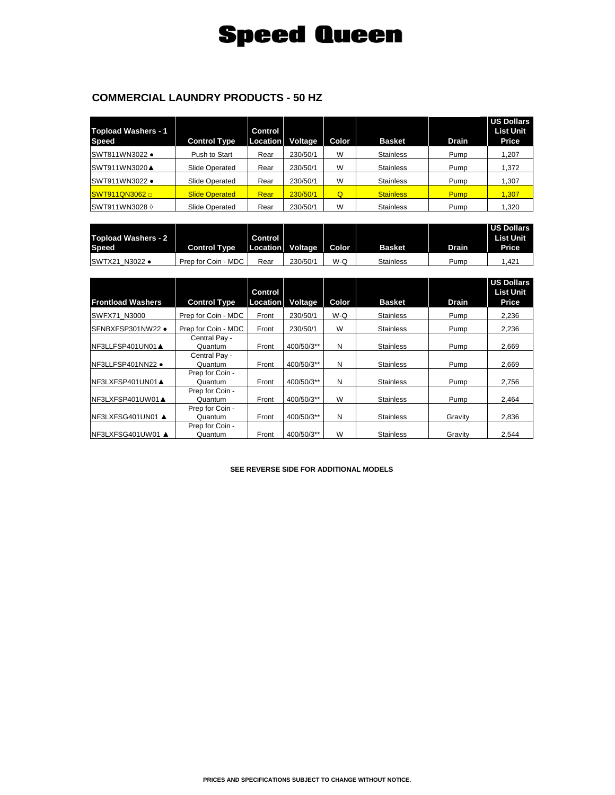## **Speed Queen**

## **COMMERCIAL LAUNDRY PRODUCTS - 50 HZ**

| <b>Topload Washers - 1</b><br><b>Speed</b> | <b>Control Type</b>   | Control<br>Location | Voltage  | Color | <b>Basket</b>    | <b>Drain</b> | <b>US Dollars</b><br><b>List Unit</b><br>Price |
|--------------------------------------------|-----------------------|---------------------|----------|-------|------------------|--------------|------------------------------------------------|
| <b>SWT811WN3022 •</b>                      | Push to Start         | Rear                | 230/50/1 | W     | <b>Stainless</b> | Pump         | 1,207                                          |
| <b>ISWT911WN3020▲</b>                      | Slide Operated        | Rear                | 230/50/1 | W     | <b>Stainless</b> | Pump         | 1,372                                          |
| SWT911WN3022 •                             | Slide Operated        | Rear                | 230/50/1 | W     | Stainless        | Pump         | 1.307                                          |
| <b>SWT911QN3062 □</b>                      | <b>Slide Operated</b> | Rear                | 230/50/1 | Q     | <b>Stainless</b> | <b>Pump</b>  | 1,307                                          |
| SWT911WN3028 0                             | Slide Operated        | Rear                | 230/50/1 | W     | <b>Stainless</b> | Pump         | 1,320                                          |

| Topload Washers - 2 |                     | Control |                        |     |                  |       | <b>US Dollars</b><br><b>List Unit</b> |
|---------------------|---------------------|---------|------------------------|-----|------------------|-------|---------------------------------------|
| Speed               | <b>Control Type</b> |         | Location Voltage Color |     | <b>Basket</b>    | Drain | Price                                 |
| SWTX21 N3022 •      | Prep for Coin - MDC | Rear    | 230/50/1               | W-Q | <b>Stainless</b> | Pump  | 1.421                                 |

| <b>Frontload Washers</b> | <b>Control Type</b>        | <b>Control</b><br>Location | Voltage    | Color | <b>Basket</b>    | <b>Drain</b> | <b>US Dollars</b><br><b>List Unit</b><br>Price |
|--------------------------|----------------------------|----------------------------|------------|-------|------------------|--------------|------------------------------------------------|
| SWFX71 N3000             | Prep for Coin - MDC        | Front                      | 230/50/1   | $W-Q$ | <b>Stainless</b> | Pump         | 2,236                                          |
| SFNBXFSP301NW22 .        | Prep for Coin - MDC        | Front                      | 230/50/1   | W     | <b>Stainless</b> | Pump         | 2,236                                          |
| INF3LLFSP401UN01▲        | Central Pay -<br>Quantum   | Front                      | 400/50/3** | N     | <b>Stainless</b> | Pump         | 2.669                                          |
| NF3LLFSP401NN22 .        | Central Pay -<br>Quantum   | Front                      | 400/50/3** | N     | <b>Stainless</b> | Pump         | 2,669                                          |
| INF3LXFSP401UN01▲        | Prep for Coin -<br>Quantum | Front                      | 400/50/3** | N     | <b>Stainless</b> | Pump         | 2.756                                          |
| INF3LXFSP401UW01▲        | Prep for Coin -<br>Quantum | Front                      | 400/50/3** | W     | <b>Stainless</b> | Pump         | 2,464                                          |
| INF3LXFSG401UN01 ▲       | Prep for Coin -<br>Quantum | Front                      | 400/50/3** | N     | <b>Stainless</b> | Gravity      | 2.836                                          |
| NF3LXFSG401UW01 A        | Prep for Coin -<br>Quantum | Front                      | 400/50/3** | W     | <b>Stainless</b> | Gravity      | 2.544                                          |

**SEE REVERSE SIDE FOR ADDITIONAL MODELS**